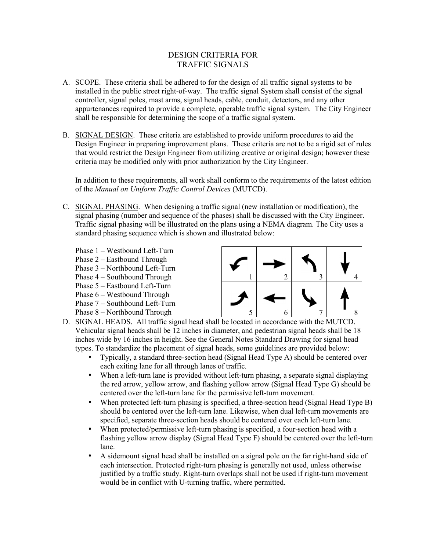# DESIGN CRITERIA FOR TRAFFIC SIGNALS

- A. SCOPE. These criteria shall be adhered to for the design of all traffic signal systems to be installed in the public street right-of-way. The traffic signal System shall consist of the signal controller, signal poles, mast arms, signal heads, cable, conduit, detectors, and any other appurtenances required to provide a complete, operable traffic signal system. The City Engineer shall be responsible for determining the scope of a traffic signal system.
- B. SIGNAL DESIGN. These criteria are established to provide uniform procedures to aid the Design Engineer in preparing improvement plans. These criteria are not to be a rigid set of rules that would restrict the Design Engineer from utilizing creative or original design; however these criteria may be modified only with prior authorization by the City Engineer.

In addition to these requirements, all work shall conform to the requirements of the latest edition of the *Manual on Uniform Traffic Control Devices* (MUTCD).

- C. SIGNAL PHASING.When designing a traffic signal (new installation or modification), the signal phasing (number and sequence of the phases) shall be discussed with the City Engineer. Traffic signal phasing will be illustrated on the plans using a NEMA diagram. The City uses a standard phasing sequence which is shown and illustrated below:
	- Phase 1 Westbound Left-Turn
	- Phase 2 Eastbound Through
	- Phase 3 Northbound Left-Turn
	- Phase 4 Southbound Through
	- Phase 5 Eastbound Left-Turn
	- Phase 6 Westbound Through
	- Phase 7 Southbound Left-Turn
	- Phase 8 Northbound Through



- D. SIGNAL HEADS.All traffic signal head shall be located in accordance with the MUTCD. Vehicular signal heads shall be 12 inches in diameter, and pedestrian signal heads shall be 18 inches wide by 16 inches in height. See the General Notes Standard Drawing for signal head types. To standardize the placement of signal heads, some guidelines are provided below:
	- Typically, a standard three-section head (Signal Head Type A) should be centered over each exiting lane for all through lanes of traffic.
	- When a left-turn lane is provided without left-turn phasing, a separate signal displaying the red arrow, yellow arrow, and flashing yellow arrow (Signal Head Type G) should be centered over the left-turn lane for the permissive left-turn movement.
	- When protected left-turn phasing is specified, a three-section head (Signal Head Type B) should be centered over the left-turn lane. Likewise, when dual left-turn movements are specified, separate three-section heads should be centered over each left-turn lane.
	- When protected/permissive left-turn phasing is specified, a four-section head with a flashing yellow arrow display (Signal Head Type F) should be centered over the left-turn lane.
	- A sidemount signal head shall be installed on a signal pole on the far right-hand side of each intersection. Protected right-turn phasing is generally not used, unless otherwise justified by a traffic study. Right-turn overlaps shall not be used if right-turn movement would be in conflict with U-turning traffic, where permitted.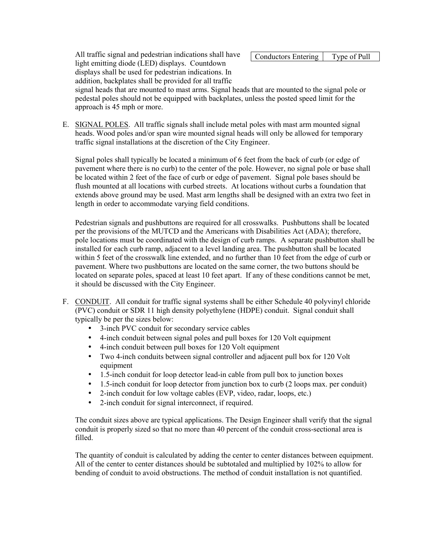All traffic signal and pedestrian indications shall have light emitting diode (LED) displays. Countdown displays shall be used for pedestrian indications. In addition, backplates shall be provided for all traffic

Conductors Entering | Type of Pull

signal heads that are mounted to mast arms. Signal heads that are mounted to the signal pole or pedestal poles should not be equipped with backplates, unless the posted speed limit for the approach is 45 mph or more.

E. SIGNAL POLES. All traffic signals shall include metal poles with mast arm mounted signal heads. Wood poles and/or span wire mounted signal heads will only be allowed for temporary traffic signal installations at the discretion of the City Engineer.

Signal poles shall typically be located a minimum of 6 feet from the back of curb (or edge of pavement where there is no curb) to the center of the pole. However, no signal pole or base shall be located within 2 feet of the face of curb or edge of pavement. Signal pole bases should be flush mounted at all locations with curbed streets. At locations without curbs a foundation that extends above ground may be used. Mast arm lengths shall be designed with an extra two feet in length in order to accommodate varying field conditions.

Pedestrian signals and pushbuttons are required for all crosswalks. Pushbuttons shall be located per the provisions of the MUTCD and the Americans with Disabilities Act (ADA); therefore, pole locations must be coordinated with the design of curb ramps. A separate pushbutton shall be installed for each curb ramp, adjacent to a level landing area. The pushbutton shall be located within 5 feet of the crosswalk line extended, and no further than 10 feet from the edge of curb or pavement. Where two pushbuttons are located on the same corner, the two buttons should be located on separate poles, spaced at least 10 feet apart. If any of these conditions cannot be met, it should be discussed with the City Engineer.

- F. CONDUIT. All conduit for traffic signal systems shall be either Schedule 40 polyvinyl chloride (PVC) conduit or SDR 11 high density polyethylene (HDPE) conduit. Signal conduit shall typically be per the sizes below:
	- 3-inch PVC conduit for secondary service cables
	- 4-inch conduit between signal poles and pull boxes for 120 Volt equipment
	- 4-inch conduit between pull boxes for 120 Volt equipment
	- Two 4-inch conduits between signal controller and adjacent pull box for 120 Volt equipment
	- 1.5-inch conduit for loop detector lead-in cable from pull box to junction boxes
	- 1.5-inch conduit for loop detector from junction box to curb (2 loops max. per conduit)
	- 2-inch conduit for low voltage cables (EVP, video, radar, loops, etc.)
	- 2-inch conduit for signal interconnect, if required.

The conduit sizes above are typical applications. The Design Engineer shall verify that the signal conduit is properly sized so that no more than 40 percent of the conduit cross-sectional area is filled.

The quantity of conduit is calculated by adding the center to center distances between equipment. All of the center to center distances should be subtotaled and multiplied by 102% to allow for bending of conduit to avoid obstructions. The method of conduit installation is not quantified.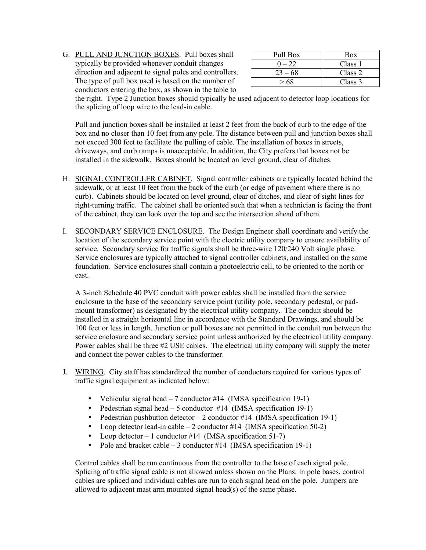G. PULL AND JUNCTION BOXES. Pull boxes shall typically be provided whenever conduit changes direction and adjacent to signal poles and controllers. The type of pull box used is based on the number of conductors entering the box, as shown in the table to

| Pull Box  | <b>Box</b> |
|-----------|------------|
| $-22$     | Class 1    |
| $23 - 68$ | Class 2    |
|           | Class 3    |

the right. Type 2 Junction boxes should typically be used adjacent to detector loop locations for the splicing of loop wire to the lead-in cable.

Pull and junction boxes shall be installed at least 2 feet from the back of curb to the edge of the box and no closer than 10 feet from any pole. The distance between pull and junction boxes shall not exceed 300 feet to facilitate the pulling of cable. The installation of boxes in streets, driveways, and curb ramps is unacceptable. In addition, the City prefers that boxes not be installed in the sidewalk. Boxes should be located on level ground, clear of ditches.

- H. SIGNAL CONTROLLER CABINET. Signal controller cabinets are typically located behind the sidewalk, or at least 10 feet from the back of the curb (or edge of pavement where there is no curb). Cabinets should be located on level ground, clear of ditches, and clear of sight lines for right-turning traffic. The cabinet shall be oriented such that when a technician is facing the front of the cabinet, they can look over the top and see the intersection ahead of them.
- I. SECONDARY SERVICE ENCLOSURE. The Design Engineer shall coordinate and verify the location of the secondary service point with the electric utility company to ensure availability of service. Secondary service for traffic signals shall be three-wire 120/240 Volt single phase. Service enclosures are typically attached to signal controller cabinets, and installed on the same foundation. Service enclosures shall contain a photoelectric cell, to be oriented to the north or east.

A 3-inch Schedule 40 PVC conduit with power cables shall be installed from the service enclosure to the base of the secondary service point (utility pole, secondary pedestal, or padmount transformer) as designated by the electrical utility company. The conduit should be installed in a straight horizontal line in accordance with the Standard Drawings, and should be 100 feet or less in length. Junction or pull boxes are not permitted in the conduit run between the service enclosure and secondary service point unless authorized by the electrical utility company. Power cables shall be three #2 USE cables. The electrical utility company will supply the meter and connect the power cables to the transformer.

- J. WIRING. City staff has standardized the number of conductors required for various types of traffic signal equipment as indicated below:
	- Vehicular signal head  $-7$  conductor #14 (IMSA specification 19-1)
	- Pedestrian signal head  $-5$  conductor #14 (IMSA specification 19-1)
	- Pedestrian pushbutton detector  $-2$  conductor #14 (IMSA specification 19-1)
	- Loop detector lead-in cable  $-2$  conductor #14 (IMSA specification 50-2)
	- Loop detector 1 conductor #14 (IMSA specification 51-7)
	- Pole and bracket cable  $-3$  conductor #14 (IMSA specification 19-1)

Control cables shall be run continuous from the controller to the base of each signal pole. Splicing of traffic signal cable is not allowed unless shown on the Plans. In pole bases, control cables are spliced and individual cables are run to each signal head on the pole. Jumpers are allowed to adjacent mast arm mounted signal head(s) of the same phase.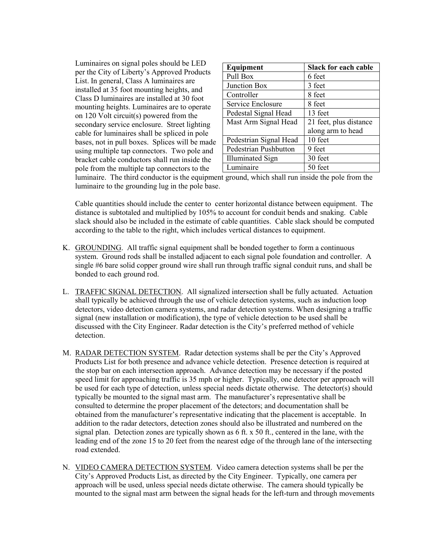Luminaires on signal poles should be LED per the City of Liberty's Approved Products List. In general, Class A luminaires are installed at 35 foot mounting heights, and Class D luminaires are installed at 30 foot mounting heights. Luminaires are to operate on 120 Volt circuit(s) powered from the secondary service enclosure. Street lighting cable for luminaires shall be spliced in pole bases, not in pull boxes. Splices will be made using multiple tap connectors. Two pole and bracket cable conductors shall run inside the pole from the multiple tap connectors to the

| Equipment               | <b>Slack for each cable</b> |
|-------------------------|-----------------------------|
| Pull Box                | 6 feet                      |
| Junction Box            | 3 feet                      |
| Controller              | 8 feet                      |
| Service Enclosure       | 8 feet                      |
| Pedestal Signal Head    | 13 feet                     |
| Mast Arm Signal Head    | 21 feet, plus distance      |
|                         | along arm to head           |
| Pedestrian Signal Head  | 10 feet                     |
| Pedestrian Pushbutton   | 9 feet                      |
| <b>Illuminated Sign</b> | 30 feet                     |
| Luminaire               | 50 feet                     |

luminaire. The third conductor is the equipment ground, which shall run inside the pole from the luminaire to the grounding lug in the pole base.

Cable quantities should include the center to center horizontal distance between equipment. The distance is subtotaled and multiplied by 105% to account for conduit bends and snaking. Cable slack should also be included in the estimate of cable quantities. Cable slack should be computed according to the table to the right, which includes vertical distances to equipment.

- K. GROUNDING. All traffic signal equipment shall be bonded together to form a continuous system. Ground rods shall be installed adjacent to each signal pole foundation and controller. A single #6 bare solid copper ground wire shall run through traffic signal conduit runs, and shall be bonded to each ground rod.
- L. TRAFFIC SIGNAL DETECTION. All signalized intersection shall be fully actuated. Actuation shall typically be achieved through the use of vehicle detection systems, such as induction loop detectors, video detection camera systems, and radar detection systems. When designing a traffic signal (new installation or modification), the type of vehicle detection to be used shall be discussed with the City Engineer. Radar detection is the City's preferred method of vehicle detection.
- M. RADAR DETECTION SYSTEM. Radar detection systems shall be per the City's Approved Products List for both presence and advance vehicle detection. Presence detection is required at the stop bar on each intersection approach. Advance detection may be necessary if the posted speed limit for approaching traffic is 35 mph or higher. Typically, one detector per approach will be used for each type of detection, unless special needs dictate otherwise. The detector(s) should typically be mounted to the signal mast arm. The manufacturer's representative shall be consulted to determine the proper placement of the detectors; and documentation shall be obtained from the manufacturer's representative indicating that the placement is acceptable. In addition to the radar detectors, detection zones should also be illustrated and numbered on the signal plan. Detection zones are typically shown as 6 ft. x 50 ft., centered in the lane, with the leading end of the zone 15 to 20 feet from the nearest edge of the through lane of the intersecting road extended.
- N. VIDEO CAMERA DETECTION SYSTEM. Video camera detection systems shall be per the City's Approved Products List, as directed by the City Engineer. Typically, one camera per approach will be used, unless special needs dictate otherwise. The camera should typically be mounted to the signal mast arm between the signal heads for the left-turn and through movements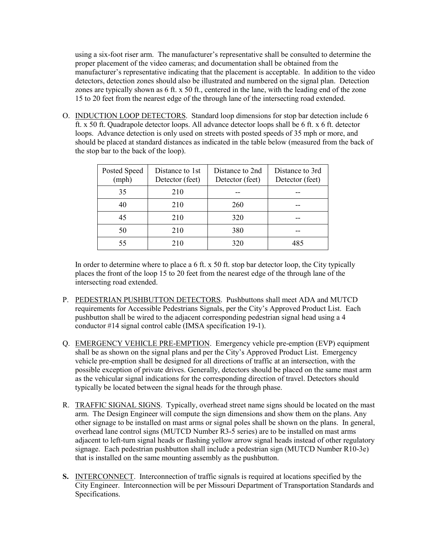using a six-foot riser arm. The manufacturer's representative shall be consulted to determine the proper placement of the video cameras; and documentation shall be obtained from the manufacturer's representative indicating that the placement is acceptable. In addition to the video detectors, detection zones should also be illustrated and numbered on the signal plan. Detection zones are typically shown as 6 ft. x 50 ft., centered in the lane, with the leading end of the zone 15 to 20 feet from the nearest edge of the through lane of the intersecting road extended.

O. INDUCTION LOOP DETECTORS. Standard loop dimensions for stop bar detection include 6 ft. x 50 ft. Quadrapole detector loops. All advance detector loops shall be 6 ft. x 6 ft. detector loops. Advance detection is only used on streets with posted speeds of 35 mph or more, and should be placed at standard distances as indicated in the table below (measured from the back of the stop bar to the back of the loop).

| Posted Speed<br>(mph) | Distance to 1st<br>Detector (feet) | Distance to 2nd<br>Detector (feet) | Distance to 3rd<br>Detector (feet) |
|-----------------------|------------------------------------|------------------------------------|------------------------------------|
| 35                    | 210                                |                                    |                                    |
| 40                    | 210                                | 260                                |                                    |
| 45                    | 210                                | 320                                |                                    |
| 50                    | 210                                | 380                                |                                    |
| 55                    | 210                                | 320                                | 485                                |

In order to determine where to place a 6 ft. x 50 ft. stop bar detector loop, the City typically places the front of the loop 15 to 20 feet from the nearest edge of the through lane of the intersecting road extended.

- P. PEDESTRIAN PUSHBUTTON DETECTORS. Pushbuttons shall meet ADA and MUTCD requirements for Accessible Pedestrians Signals, per the City's Approved Product List. Each pushbutton shall be wired to the adjacent corresponding pedestrian signal head using a 4 conductor #14 signal control cable (IMSA specification 19-1).
- Q. EMERGENCY VEHICLE PRE-EMPTION.Emergency vehicle pre-emption (EVP) equipment shall be as shown on the signal plans and per the City's Approved Product List. Emergency vehicle pre-emption shall be designed for all directions of traffic at an intersection, with the possible exception of private drives. Generally, detectors should be placed on the same mast arm as the vehicular signal indications for the corresponding direction of travel. Detectors should typically be located between the signal heads for the through phase.
- R. TRAFFIC SIGNAL SIGNS. Typically, overhead street name signs should be located on the mast arm. The Design Engineer will compute the sign dimensions and show them on the plans. Any other signage to be installed on mast arms or signal poles shall be shown on the plans. In general, overhead lane control signs (MUTCD Number R3-5 series) are to be installed on mast arms adjacent to left-turn signal heads or flashing yellow arrow signal heads instead of other regulatory signage. Each pedestrian pushbutton shall include a pedestrian sign (MUTCD Number R10-3e) that is installed on the same mounting assembly as the pushbutton.
- **S.** INTERCONNECT. Interconnection of traffic signals is required at locations specified by the City Engineer. Interconnection will be per Missouri Department of Transportation Standards and Specifications.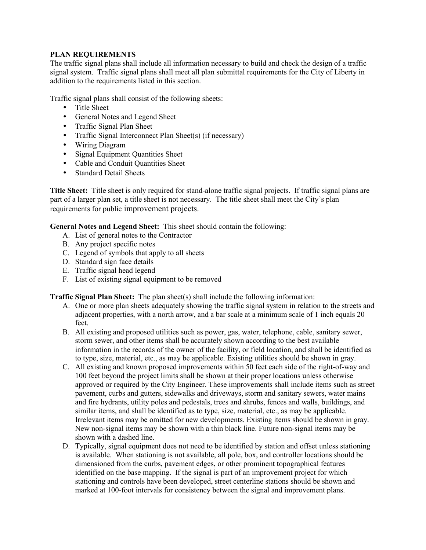# **PLAN REQUIREMENTS**

The traffic signal plans shall include all information necessary to build and check the design of a traffic signal system. Traffic signal plans shall meet all plan submittal requirements for the City of Liberty in addition to the requirements listed in this section.

Traffic signal plans shall consist of the following sheets:

- Title Sheet
- General Notes and Legend Sheet
- Traffic Signal Plan Sheet
- Traffic Signal Interconnect Plan Sheet(s) (if necessary)
- Wiring Diagram
- Signal Equipment Quantities Sheet
- Cable and Conduit Quantities Sheet
- **Standard Detail Sheets**

**Title Sheet:** Title sheet is only required for stand-alone traffic signal projects. If traffic signal plans are part of a larger plan set, a title sheet is not necessary. The title sheet shall meet the City's plan requirements for public improvement projects.

**General Notes and Legend Sheet:** This sheet should contain the following:

- A. List of general notes to the Contractor
- B. Any project specific notes
- C. Legend of symbols that apply to all sheets
- D. Standard sign face details
- E. Traffic signal head legend
- F. List of existing signal equipment to be removed

**Traffic Signal Plan Sheet:** The plan sheet(s) shall include the following information:

- A. One or more plan sheets adequately showing the traffic signal system in relation to the streets and adjacent properties, with a north arrow, and a bar scale at a minimum scale of 1 inch equals 20 feet.
- B. All existing and proposed utilities such as power, gas, water, telephone, cable, sanitary sewer, storm sewer, and other items shall be accurately shown according to the best available information in the records of the owner of the facility, or field location, and shall be identified as to type, size, material, etc., as may be applicable. Existing utilities should be shown in gray.
- C. All existing and known proposed improvements within 50 feet each side of the right-of-way and 100 feet beyond the project limits shall be shown at their proper locations unless otherwise approved or required by the City Engineer. These improvements shall include items such as street pavement, curbs and gutters, sidewalks and driveways, storm and sanitary sewers, water mains and fire hydrants, utility poles and pedestals, trees and shrubs, fences and walls, buildings, and similar items, and shall be identified as to type, size, material, etc., as may be applicable. Irrelevant items may be omitted for new developments. Existing items should be shown in gray. New non-signal items may be shown with a thin black line. Future non-signal items may be shown with a dashed line.
- D. Typically, signal equipment does not need to be identified by station and offset unless stationing is available. When stationing is not available, all pole, box, and controller locations should be dimensioned from the curbs, pavement edges, or other prominent topographical features identified on the base mapping. If the signal is part of an improvement project for which stationing and controls have been developed, street centerline stations should be shown and marked at 100-foot intervals for consistency between the signal and improvement plans.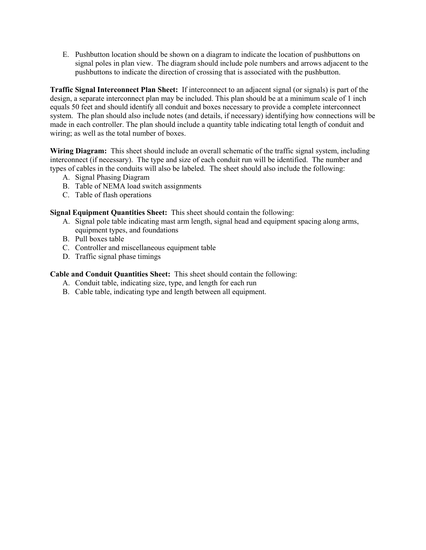E. Pushbutton location should be shown on a diagram to indicate the location of pushbuttons on signal poles in plan view. The diagram should include pole numbers and arrows adjacent to the pushbuttons to indicate the direction of crossing that is associated with the pushbutton.

**Traffic Signal Interconnect Plan Sheet:** If interconnect to an adjacent signal (or signals) is part of the design, a separate interconnect plan may be included. This plan should be at a minimum scale of 1 inch equals 50 feet and should identify all conduit and boxes necessary to provide a complete interconnect system. The plan should also include notes (and details, if necessary) identifying how connections will be made in each controller. The plan should include a quantity table indicating total length of conduit and wiring; as well as the total number of boxes.

**Wiring Diagram:** This sheet should include an overall schematic of the traffic signal system, including interconnect (if necessary). The type and size of each conduit run will be identified. The number and types of cables in the conduits will also be labeled. The sheet should also include the following:

- A. Signal Phasing Diagram
- B. Table of NEMA load switch assignments
- C. Table of flash operations

**Signal Equipment Quantities Sheet:** This sheet should contain the following:

- A. Signal pole table indicating mast arm length, signal head and equipment spacing along arms, equipment types, and foundations
- B. Pull boxes table
- C. Controller and miscellaneous equipment table
- D. Traffic signal phase timings

# **Cable and Conduit Quantities Sheet:** This sheet should contain the following:

- A. Conduit table, indicating size, type, and length for each run
- B. Cable table, indicating type and length between all equipment.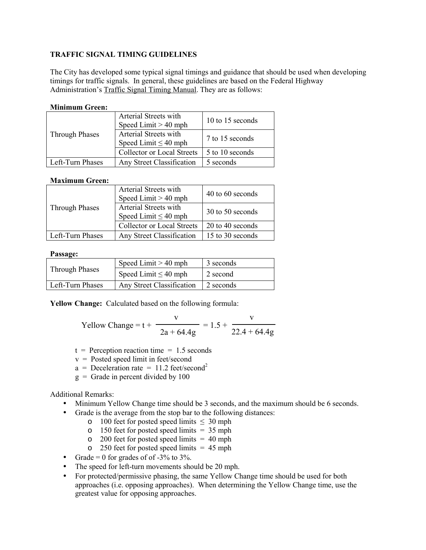# **TRAFFIC SIGNAL TIMING GUIDELINES**

The City has developed some typical signal timings and guidance that should be used when developing timings for traffic signals. In general, these guidelines are based on the Federal Highway Administration's Traffic Signal Timing Manual. They are as follows:

## **Minimum Green:**

|                       | Arterial Streets with<br>Speed Limit $> 40$ mph    | 10 to 15 seconds |
|-----------------------|----------------------------------------------------|------------------|
| <b>Through Phases</b> | Arterial Streets with<br>Speed Limit $\leq 40$ mph | 7 to 15 seconds  |
|                       | <b>Collector or Local Streets</b>                  | 5 to 10 seconds  |
| Left-Turn Phases      | Any Street Classification                          | 5 seconds        |

# **Maximum Green:**

|                       | Arterial Streets with<br>Speed Limit $> 40$ mph    | 40 to 60 seconds |
|-----------------------|----------------------------------------------------|------------------|
| <b>Through Phases</b> | Arterial Streets with<br>Speed Limit $\leq 40$ mph | 30 to 50 seconds |
|                       | <b>Collector or Local Streets</b>                  | 20 to 40 seconds |
| Left-Turn Phases      | Any Street Classification                          | 15 to 30 seconds |

#### **Passage:**

|                       | Speed Limit $> 40$ mph    | 3 seconds |
|-----------------------|---------------------------|-----------|
| <b>Through Phases</b> | Speed Limit $\leq 40$ mph | 2 second  |
| Left-Turn Phases      | Any Street Classification | 2 seconds |

**Yellow Change:** Calculated based on the following formula:

$$
Yellow Change = t + \frac{v}{2a + 64.4g} = 1.5 + \frac{v}{22.4 + 64.4g}
$$

- $t =$  Perception reaction time = 1.5 seconds
- v = Posted speed limit in feet/second
- $a = Deceleration rate = 11.2 feet/second<sup>2</sup>$
- $g =$  Grade in percent divided by 100

#### Additional Remarks:

- Minimum Yellow Change time should be 3 seconds, and the maximum should be 6 seconds.
- Grade is the average from the stop bar to the following distances:
	- o 100 feet for posted speed limits  $\leq 30$  mph
	- $\circ$  150 feet for posted speed limits = 35 mph
	- $\degree$  200 feet for posted speed limits = 40 mph
	- $\degree$  250 feet for posted speed limits = 45 mph
- Grade = 0 for grades of of  $-3\%$  to  $3\%$ .
- The speed for left-turn movements should be 20 mph.
- For protected/permissive phasing, the same Yellow Change time should be used for both approaches (i.e. opposing approaches). When determining the Yellow Change time, use the greatest value for opposing approaches.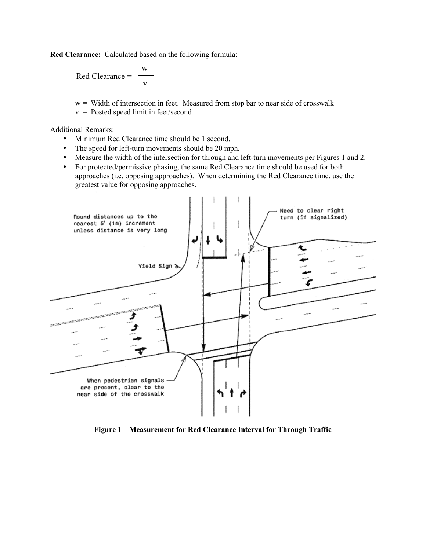**Red Clearance:** Calculated based on the following formula:

Red Clearance = w v

 $w =$  Width of intersection in feet. Measured from stop bar to near side of crosswalk

v = Posted speed limit in feet/second

Additional Remarks:

- Minimum Red Clearance time should be 1 second.
- The speed for left-turn movements should be 20 mph.
- Measure the width of the intersection for through and left-turn movements per Figures 1 and 2.
- For protected/permissive phasing, the same Red Clearance time should be used for both approaches (i.e. opposing approaches). When determining the Red Clearance time, use the greatest value for opposing approaches.



**Figure 1 – Measurement for Red Clearance Interval for Through Traffic**